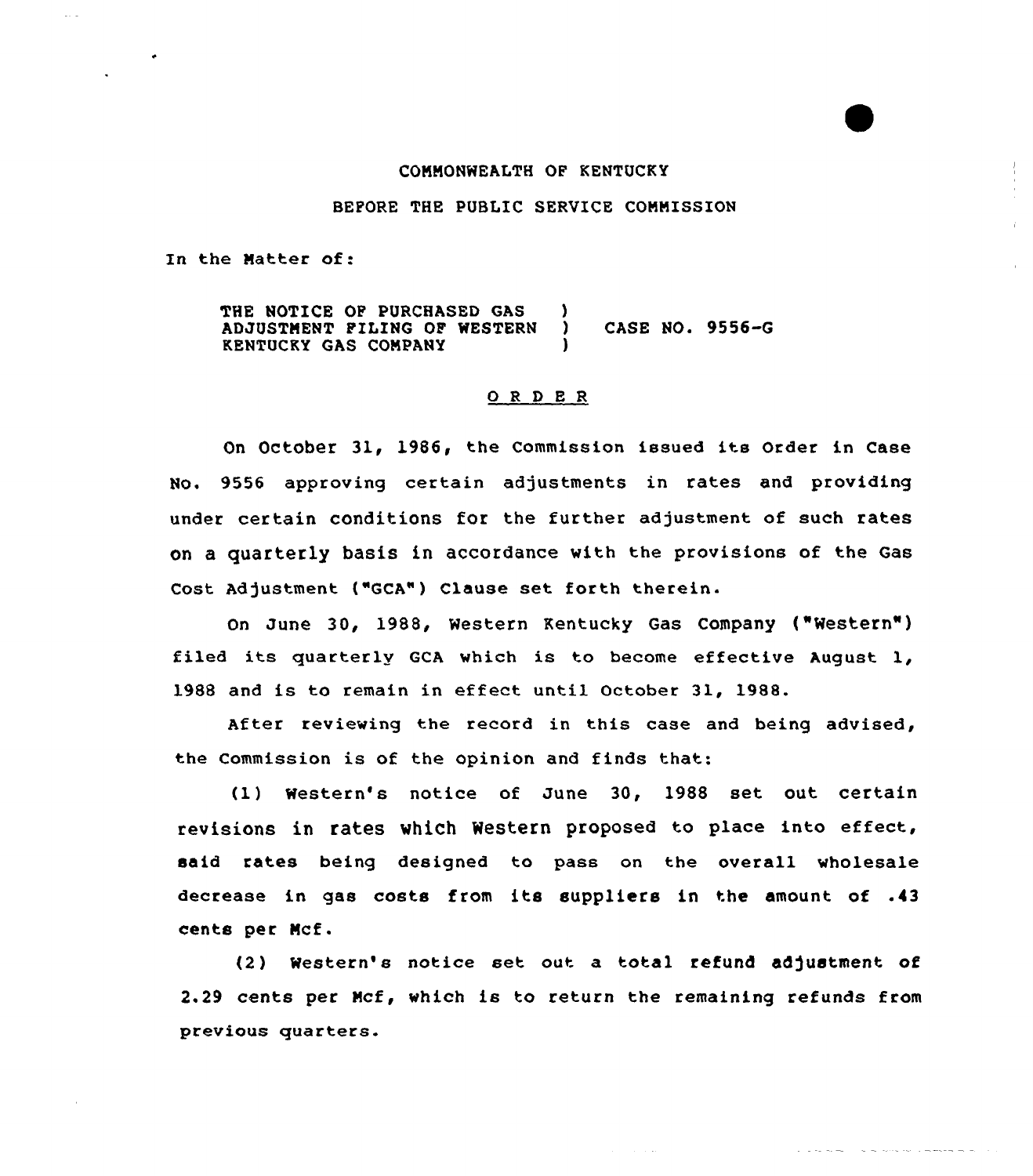## COMMONWEALTH OF KENTUCKY

# BEFORE THE PUBLIC SERVICE COMMISSION

In the Matter of:

THE NOTICE OF PURCHASED GAS )<br>ADJUSTMENT FILING OF WESTERN ) ADJUSTMENT PILING OF WESTERN ) CASE NO. 9556-G KENTUCKY GAS COMPANY )

### 0 <sup>R</sup> <sup>D</sup> <sup>E</sup> <sup>R</sup>

On October 31, 1986, the Commission issued its Order in Case No, 9556 approving certain adjustments in rates and providing under certain conditions for the further adjustment of such rates on a quarterly basis in accordance with the provisions of the Gas Cost Adjustment ("GCA") Clause set forth therein.

On June 30, 1988, Western Kentucky Gas Company ("Western" ) filed its quarterly GCA which is to become effective August  $1$ , 1988 and is to remain in effect until October 31, 1988.

After reviewing the record in this case and being advised, the Commission is of the opinion. and finds that:

(1) Western's notice of June 30, 1988 set out certain revisions in rates which Western proposed to place into effect, said rates being designed to pass on the overall wholesale decrease in gas costs from its suppliers in the amount of .43 cents per Ncf.

(2 ) Western's notice set out a total refund adjustment of 2.29 cents per Mcf, which is to return the remaining refunds from previous quarters.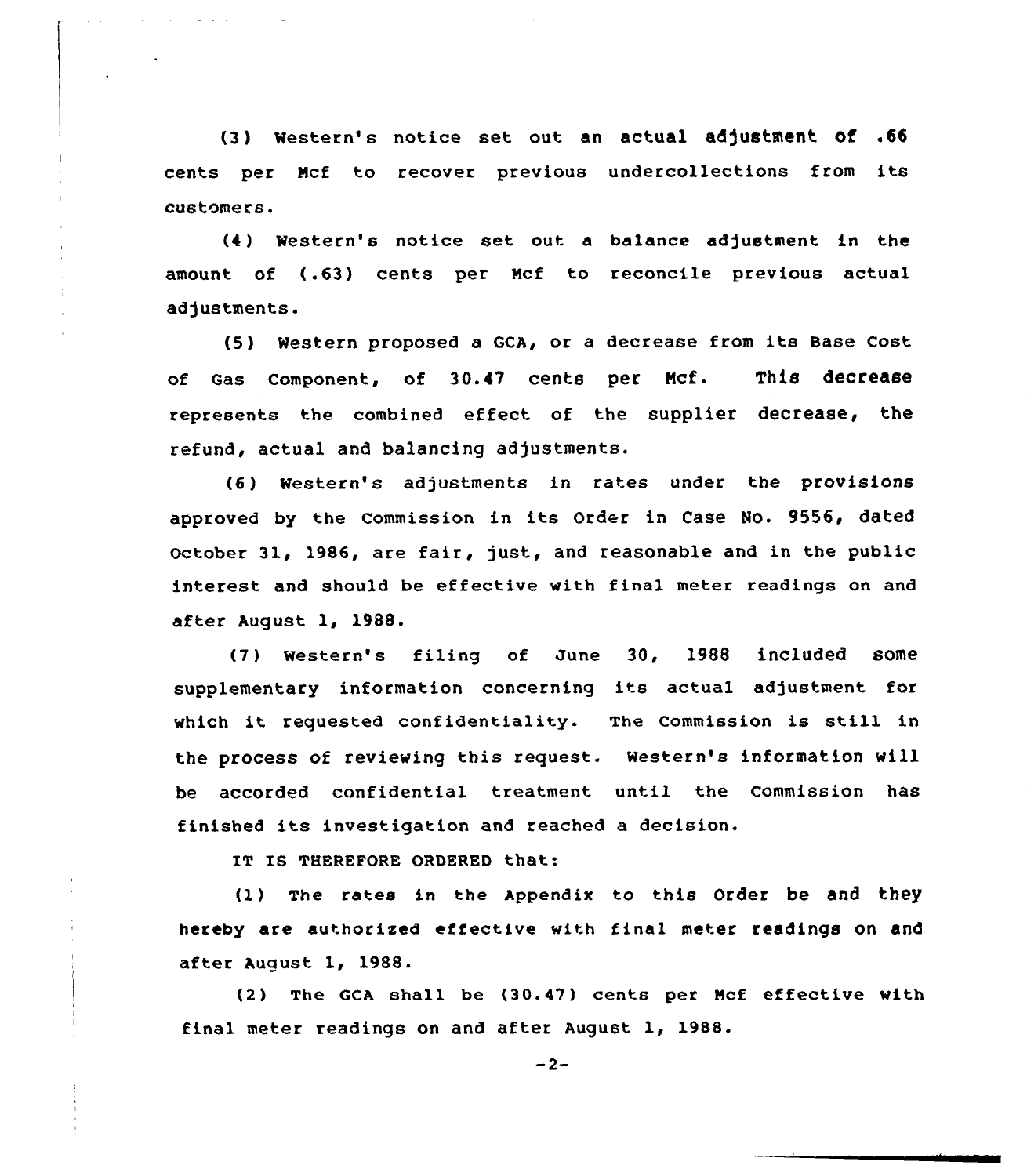(3) Western's notice set out an actual adjustment of .66 cents per Ncf to recover previous undercollections from its customers.

(4 ) Western's notice set out a balance adjustment in the amount of (.63) cents per Wcf to reconcile previous actual adjustments.

(5) Western proposed a GCA, or a decrease from its Base Cost of Gas Component, of 30.47 cents per Ncf. This decrease represents the combined effect of the supplier decrease, the refund, actual and balancing adjustments.

(6) Western's adjustments in rates under the provisions approved by the commission in its order in case No. 9556, dated October 31, 1986, are fair, just, and reasonable and in the public interest and should be effective with final meter readings on and after August 1, 1988.

(7 ) Western's filing of June 30, 1988 included some supplementary information concerning its actual adjustment for which it requested confidentiality. The Commission is still in the process of reviewing this request. western's information will be accorded confidential treatment until the Commission has finished its investigation and reached <sup>a</sup> decision.

IT IS THEREFORE ORDERED that:

(1) The rates in the Appendix to this order be and they hereby are authorised effective with final meter readings on and after August 1, 1988.

(2) The GCA shall be (30.47) cents per Mcf effective with final meter readings on and after August 1, 1988.

 $-2-$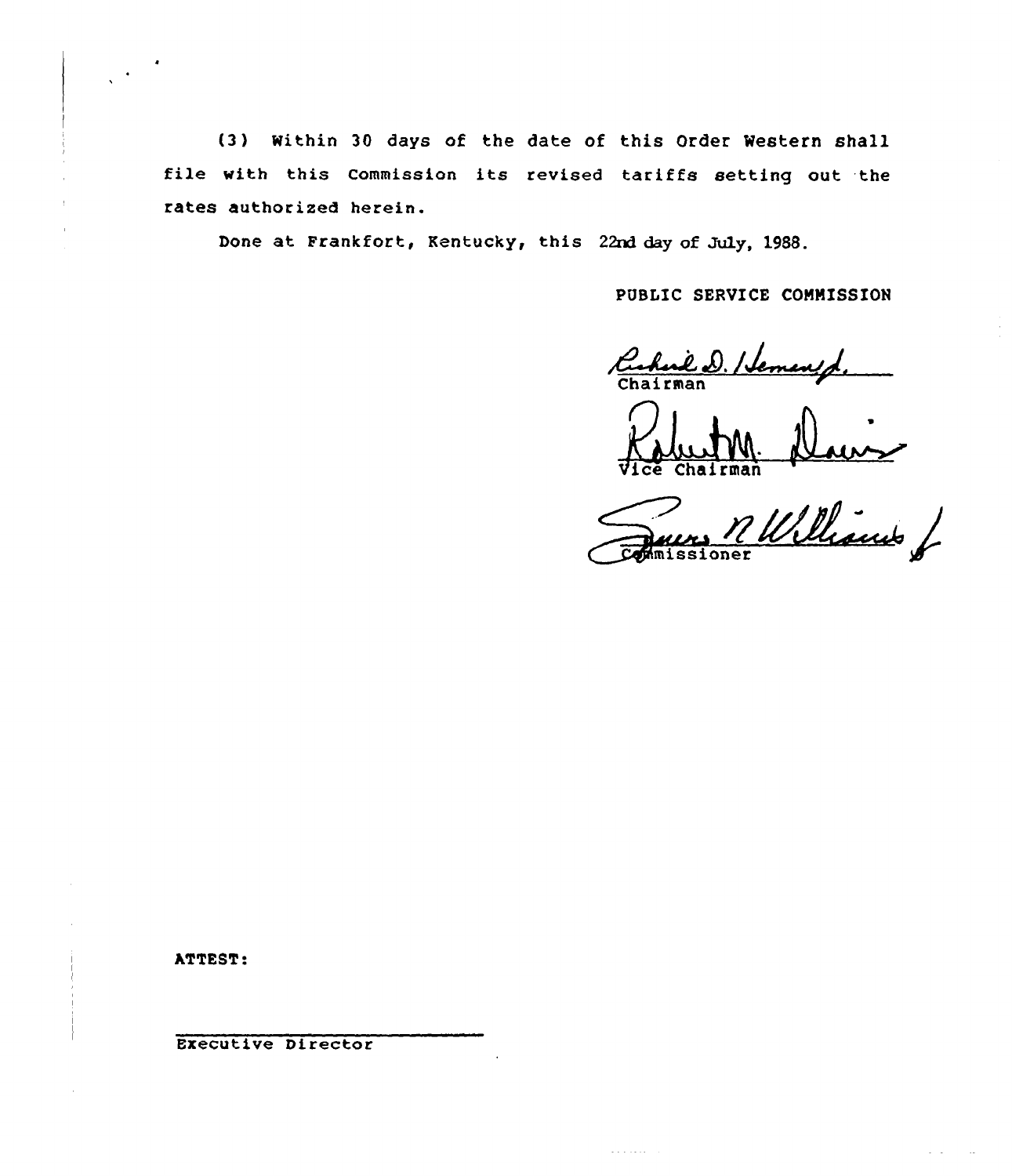(3 ) Within 30 days of the date of this Order Western shall file with this Commission its revised tariffs setting out the rates authorized herein.

Done at Frankfort, Kentucky, this 22nd day of July, 1988.

PUBLIC SERVICE COMMISSION

Chairman

C'll~ Chairman

rman<br>11 Williams f

and a salar

ATTEST:

Executive Director